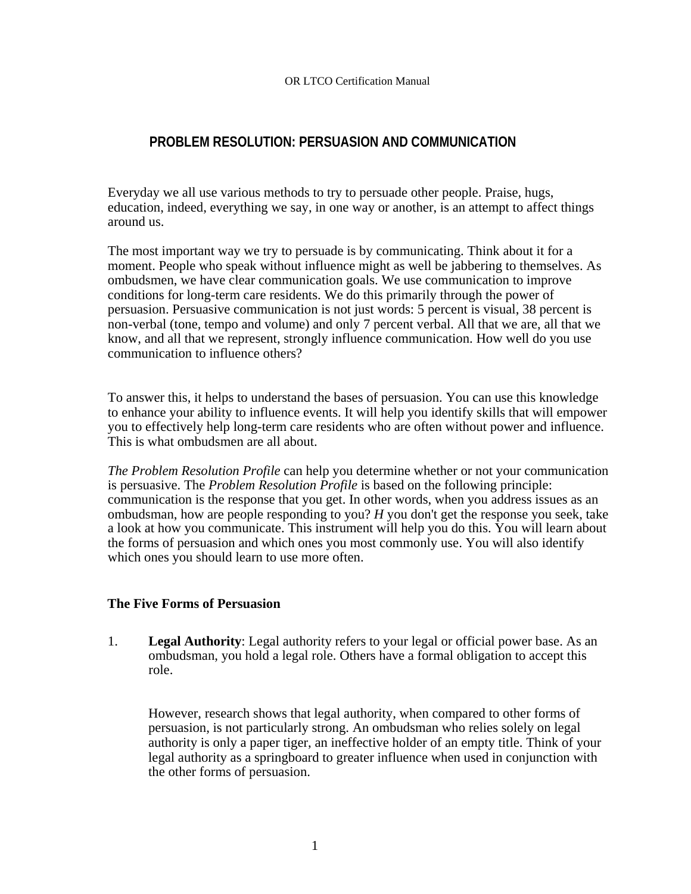## **PROBLEM RESOLUTION: PERSUASION AND COMMUNICATION**

Everyday we all use various methods to try to persuade other people. Praise, hugs, education, indeed, everything we say, in one way or another, is an attempt to affect things around us.

The most important way we try to persuade is by communicating. Think about it for a moment. People who speak without influence might as well be jabbering to themselves. As ombudsmen, we have clear communication goals. We use communication to improve conditions for long-term care residents. We do this primarily through the power of persuasion. Persuasive communication is not just words: 5 percent is visual, 38 percent is non-verbal (tone, tempo and volume) and only 7 percent verbal. All that we are, all that we know, and all that we represent, strongly influence communication. How well do you use communication to influence others?

To answer this, it helps to understand the bases of persuasion. You can use this knowledge to enhance your ability to influence events. It will help you identify skills that will empower you to effectively help long-term care residents who are often without power and influence. This is what ombudsmen are all about.

*The Problem Resolution Profile* can help you determine whether or not your communication is persuasive. The *Problem Resolution Profile* is based on the following principle: communication is the response that you get. In other words, when you address issues as an ombudsman, how are people responding to you? *H* you don't get the response you seek, take a look at how you communicate. This instrument will help you do this. You will learn about the forms of persuasion and which ones you most commonly use. You will also identify which ones you should learn to use more often.

## **The Five Forms of Persuasion**

1. **Legal Authority**: Legal authority refers to your legal or official power base. As an ombudsman, you hold a legal role. Others have a formal obligation to accept this role.

However, research shows that legal authority, when compared to other forms of persuasion, is not particularly strong. An ombudsman who relies solely on legal authority is only a paper tiger, an ineffective holder of an empty title. Think of your legal authority as a springboard to greater influence when used in conjunction with the other forms of persuasion.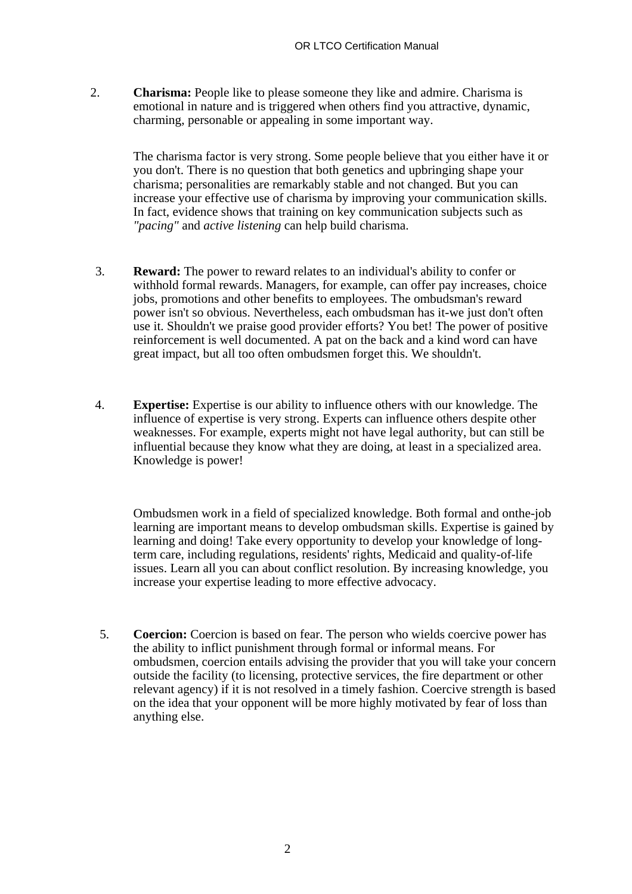2. **Charisma:** People like to please someone they like and admire. Charisma is emotional in nature and is triggered when others find you attractive, dynamic, charming, personable or appealing in some important way.

The charisma factor is very strong. Some people believe that you either have it or you don't. There is no question that both genetics and upbringing shape your charisma; personalities are remarkably stable and not changed. But you can increase your effective use of charisma by improving your communication skills. In fact, evidence shows that training on key communication subjects such as *"pacing"* and *active listening* can help build charisma.

- 3. **Reward:** The power to reward relates to an individual's ability to confer or withhold formal rewards. Managers, for example, can offer pay increases, choice jobs, promotions and other benefits to employees. The ombudsman's reward power isn't so obvious. Nevertheless, each ombudsman has it-we just don't often use it. Shouldn't we praise good provider efforts? You bet! The power of positive reinforcement is well documented. A pat on the back and a kind word can have great impact, but all too often ombudsmen forget this. We shouldn't.
- 4. **Expertise:** Expertise is our ability to influence others with our knowledge. The influence of expertise is very strong. Experts can influence others despite other weaknesses. For example, experts might not have legal authority, but can still be influential because they know what they are doing, at least in a specialized area. Knowledge is power!

Ombudsmen work in a field of specialized knowledge. Both formal and onthe-job learning are important means to develop ombudsman skills. Expertise is gained by learning and doing! Take every opportunity to develop your knowledge of longterm care, including regulations, residents' rights, Medicaid and quality-of-life issues. Learn all you can about conflict resolution. By increasing knowledge, you increase your expertise leading to more effective advocacy.

5. **Coercion:** Coercion is based on fear. The person who wields coercive power has the ability to inflict punishment through formal or informal means. For ombudsmen, coercion entails advising the provider that you will take your concern outside the facility (to licensing, protective services, the fire department or other relevant agency) if it is not resolved in a timely fashion. Coercive strength is based on the idea that your opponent will be more highly motivated by fear of loss than anything else.